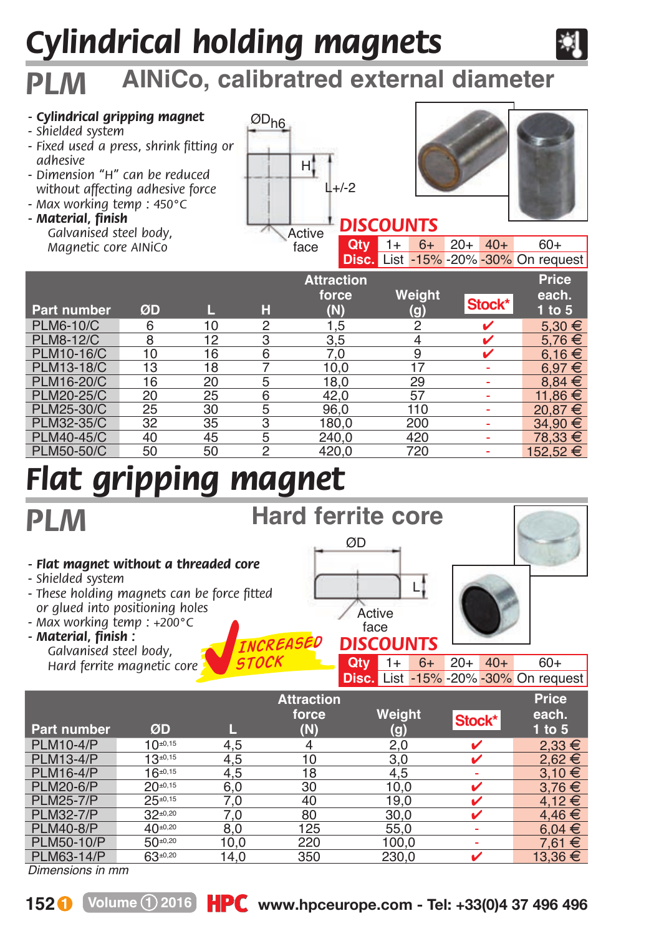## *Cylindrical holding magnets*



## *PLM* **AINiCo, calibratred external diameter**

- *Cylindrical gripping magnet*
- *Shielded system*
- *Fixed used a press, shrink fitting or adhesive*
- *Dimension "H" can be reduced without affecting adhesive force*
- *Max working temp : 450°C*
- *Material, finish*
	- *Galvanised steel body, Magnetic core AINiCo*





|                    |    |    |                |                   | <b>Disc.</b> List -15% -20% -30% On request |        |                     |
|--------------------|----|----|----------------|-------------------|---------------------------------------------|--------|---------------------|
|                    |    |    |                | <b>Attraction</b> |                                             |        | Price               |
| <b>Part number</b> | ØD | L  | н              | force<br>(N)      | Weight<br>(g)                               | Stock* | each.<br>$1$ to $5$ |
| <b>PLM6-10/C</b>   | 6  | 10 | 2              | 1,5               | 2                                           |        | $5.30 \in$          |
| <b>PLM8-12/C</b>   | 8  | 12 | 3              | 3.5               | 4                                           | ✓      | 5.76€               |
| PLM10-16/C         | 10 | 16 | 6              | 7.0               | 9                                           | ✓      | $6.16 \in$          |
| PLM13-18/C         | 13 | 18 |                | 10,0              | 17                                          |        | $6.97 \in$          |
| PLM16-20/C         | 16 | 20 | 5              | 18.0              | 29                                          |        | $8,84 \in$          |
| PLM20-25/C         | 20 | 25 | 6              | 42.0              | 57                                          |        | 11.86 €             |
| PLM25-30/C         | 25 | 30 | 5              | 96.0              | 110                                         |        | $20.87 \in$         |
| PLM32-35/C         | 32 | 35 | 3              | 180.0             | 200                                         |        | $34.90 \in$         |
| <b>PLM40-45/C</b>  | 40 | 45 | 5              | 240.0             | 420                                         | -      | 78.33 €             |
| <b>PLM50-50/C</b>  | 50 | 50 | $\overline{2}$ | 420.0             | 720                                         |        | 152.52 €            |

## *Flat gripping magnet*



*Dimensions in mm*